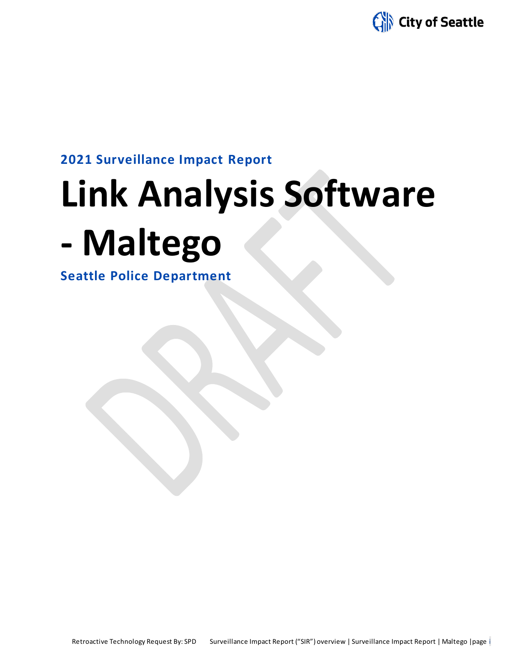

**2021 Surveillance Impact Report**

# **Link Analysis Software**

## **- Maltego**

**Seattle Police Department**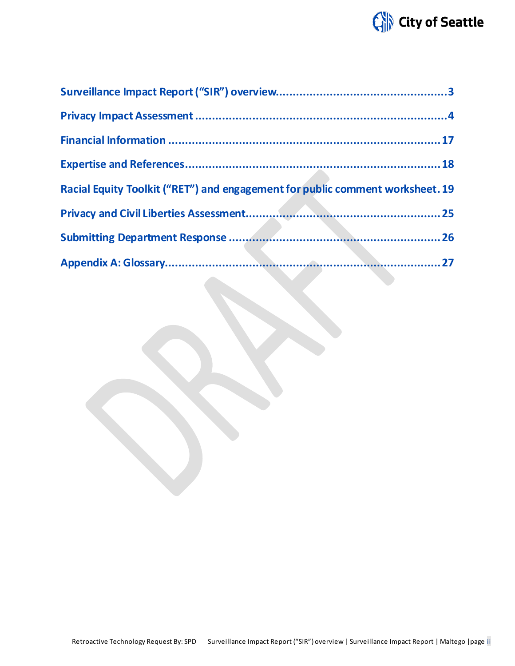## City of Seattle

| Racial Equity Toolkit ("RET") and engagement for public comment worksheet. 19 |  |
|-------------------------------------------------------------------------------|--|
|                                                                               |  |
|                                                                               |  |
|                                                                               |  |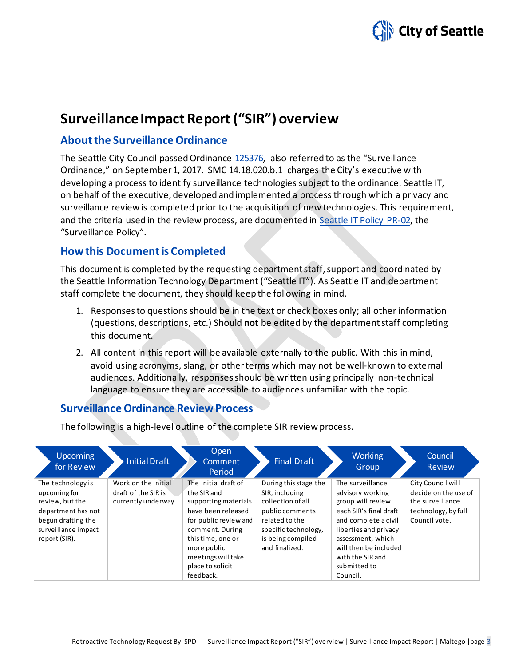

### **Surveillance Impact Report ("SIR") overview**

### **About the Surveillance Ordinance**

The Seattle City Council passed Ordinance [125376,](http://seattle.legistar.com/LegislationDetail.aspx?ID=2981172&GUID=0B2FEFC0-822F-4907-9409-E318537E5330&Options=Advanced&Search=) also referred to as the "Surveillance Ordinance," on September1, 2017. SMC 14.18.020.b.1 charges the City's executive with developing a process to identify surveillance technologies subject to the ordinance. Seattle IT, on behalf of the executive, developed and implemented a process through which a privacy and surveillance review is completed prior to the acquisition of new technologies. This requirement, and the criteria used in the review process, are documented in Seattle IT [Policy PR-02,](https://seattlegov.sharepoint.com/sites/IT-CDR/Operating_Docs/PR-02SurveillancePolicy.pdf) the "Surveillance Policy".

### **How this Document is Completed**

This document is completed by the requesting department staff, support and coordinated by the Seattle Information Technology Department ("Seattle IT"). As Seattle IT and department staff complete the document, they should keep the following in mind.

- 1. Responses to questions should be in the text or check boxes only; all other information (questions, descriptions, etc.) Should **not** be edited by the department staff completing this document.
- 2. All content in this report will be available externally to the public. With this in mind, avoid using acronyms, slang, or other terms which may not be well-known to external audiences. Additionally, responses should be written using principally non-technical language to ensure they are accessible to audiences unfamiliar with the topic.

### **Surveillance Ordinance Review Process**

The following is a high-level outline of the complete SIR review process.

| <b>Upcoming</b><br>for Review                                                                                                            | Initial Draft                                                     | Open<br>Comment<br>Period                                                                                                                                                                                                | <b>Final Draft</b>                                                                                                                                               | <b>Working</b><br>Group                                                                                                                                                                                                            | Council<br><b>Review</b>                                                                              |
|------------------------------------------------------------------------------------------------------------------------------------------|-------------------------------------------------------------------|--------------------------------------------------------------------------------------------------------------------------------------------------------------------------------------------------------------------------|------------------------------------------------------------------------------------------------------------------------------------------------------------------|------------------------------------------------------------------------------------------------------------------------------------------------------------------------------------------------------------------------------------|-------------------------------------------------------------------------------------------------------|
| The technology is<br>upcoming for<br>review, but the<br>department has not<br>begun drafting the<br>surveillance impact<br>report (SIR). | Work on the initial<br>draft of the SIR is<br>currently underway. | The initial draft of<br>the SIR and<br>supporting materials<br>have been released<br>for public review and<br>comment. During<br>this time, one or<br>more public<br>meetings will take<br>place to solicit<br>feedback. | During this stage the<br>SIR, including<br>collection of all<br>public comments<br>related to the<br>specific technology,<br>is being compiled<br>and finalized. | The surveillance<br>advisory working<br>group will review<br>each SIR's final draft<br>and complete a civil<br>liberties and privacy<br>assessment, which<br>will then be included<br>with the SIR and<br>submitted to<br>Council. | City Council will<br>decide on the use of<br>the surveillance<br>technology, by full<br>Council vote. |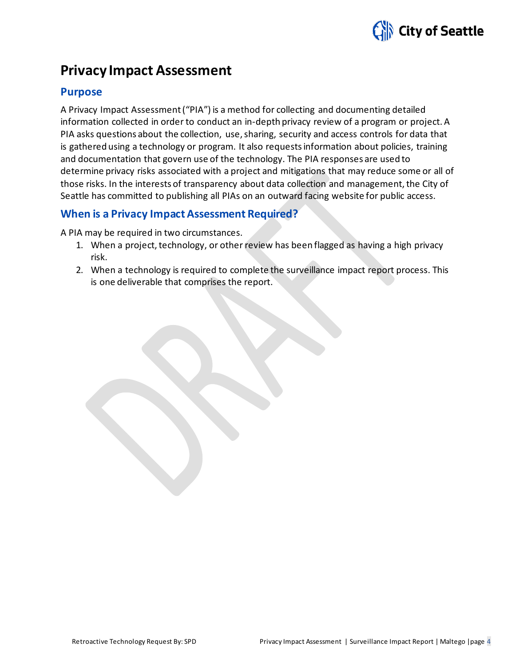

### **Privacy Impact Assessment**

### **Purpose**

A Privacy Impact Assessment ("PIA") is a method for collecting and documenting detailed information collected in order to conduct an in-depth privacy review of a program or project. A PIA asks questions about the collection, use, sharing, security and access controls for data that is gathered using a technology or program. It also requests information about policies, training and documentation that govern use of the technology. The PIA responses are used to determine privacy risks associated with a project and mitigations that may reduce some or all of those risks. In the interests of transparency about data collection and management, the City of Seattle has committed to publishing all PIAs on an outward facing website for public access.

### **When is a Privacy Impact Assessment Required?**

A PIA may be required in two circumstances.

- 1. When a project, technology, or other review has been flagged as having a high privacy risk.
- 2. When a technology is required to complete the surveillance impact report process. This is one deliverable that comprises the report.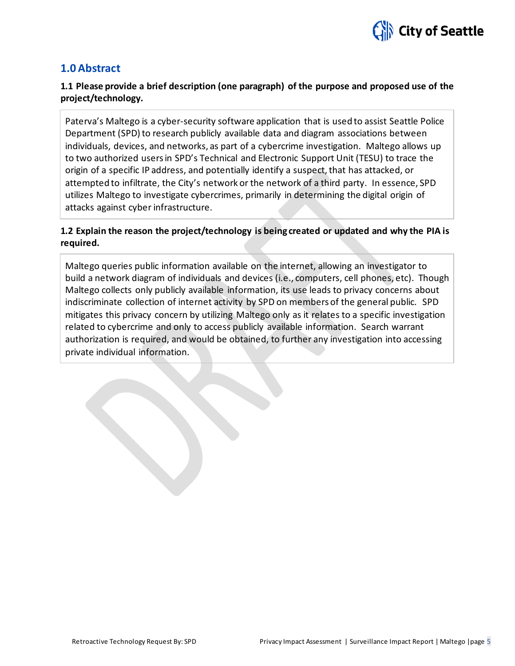

### **1.0 Abstract**

### **1.1 Please provide a brief description (one paragraph) of the purpose and proposed use of the project/technology.**

Paterva's Maltego is a cyber-security software application that is used to assist Seattle Police Department (SPD) to research publicly available data and diagram associations between individuals, devices, and networks, as part of a cybercrime investigation. Maltego allows up to two authorized users in SPD's Technical and Electronic Support Unit (TESU) to trace the origin of a specific IP address, and potentially identify a suspect, that has attacked, or attempted to infiltrate, the City's network or the network of a third party. In essence, SPD utilizes Maltego to investigate cybercrimes, primarily in determining the digital origin of attacks against cyber infrastructure.

### **1.2 Explain the reason the project/technology is being created or updated and why the PIA is required.**

Maltego queries public information available on the internet, allowing an investigator to build a network diagram of individuals and devices (i.e., computers, cell phones, etc). Though Maltego collects only publicly available information, its use leads to privacy concerns about indiscriminate collection of internet activity by SPD on members of the general public. SPD mitigates this privacy concern by utilizing Maltego only as it relates to a specific investigation related to cybercrime and only to access publicly available information. Search warrant authorization is required, and would be obtained, to further any investigation into accessing private individual information.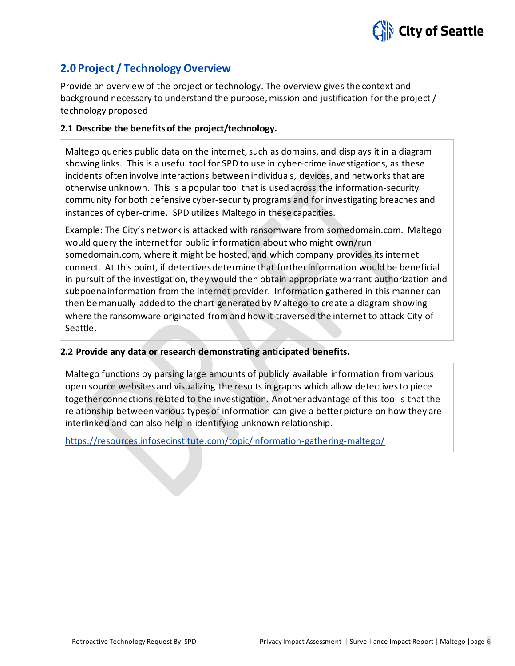

### **2.0 Project / Technology Overview**

Provide an overview of the project or technology. The overview gives the context and background necessary to understand the purpose, mission and justification for the project / technology proposed

### **2.1 Describe the benefits of the project/technology.**

Maltego queries public data on the internet, such as domains, and displays it in a diagram showing links. This is a useful tool for SPD to use in cyber-crime investigations, as these incidents often involve interactions between individuals, devices, and networks that are otherwise unknown. This is a popular tool that is used across the information-security community for both defensive cyber-security programs and for investigating breaches and instances of cyber-crime. SPD utilizes Maltego in these capacities.

Example: The City's network is attacked with ransomware from somedomain.com. Maltego would query the internet for public information about who might own/run somedomain.com, where it might be hosted, and which company provides its internet connect. At this point, if detectives determine that further information would be beneficial in pursuit of the investigation, they would then obtain appropriate warrant authorization and subpoena information from the internet provider. Information gathered in this manner can then be manually added to the chart generated by Maltego to create a diagram showing where the ransomware originated from and how it traversed the internet to attack City of Seattle.

### **2.2 Provide any data or research demonstrating anticipated benefits.**

Maltego functions by parsing large amounts of publicly available information from various open source websites and visualizing the results in graphs which allow detectives to piece together connections related to the investigation. Another advantage of this tool is that the relationship between various types of information can give a better picture on how they are interlinked and can also help in identifying unknown relationship.

<https://resources.infosecinstitute.com/topic/information-gathering-maltego/>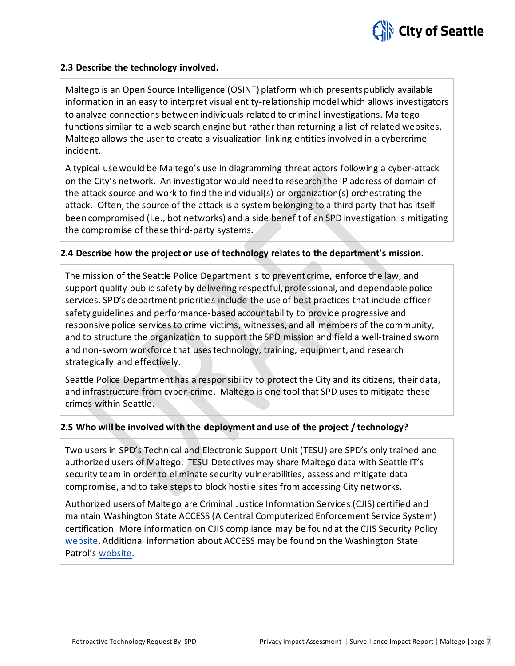

### **2.3 Describe the technology involved.**

Maltego is an Open Source Intelligence (OSINT) platform which presents publicly available information in an easy to interpret visual entity-relationship model which allows investigators to analyze connections between individuals related to criminal investigations. Maltego functions similar to a web search engine but rather than returning a list of related websites, Maltego allows the user to create a visualization linking entities involved in a cybercrime incident.

A typical use would be Maltego's use in diagramming threat actors following a cyber-attack on the City's network. An investigator would need to research the IP address of domain of the attack source and work to find the individual(s) or organization(s) orchestrating the attack. Often, the source of the attack is a system belonging to a third party that has itself been compromised (i.e., bot networks) and a side benefit of an SPD investigation is mitigating the compromise of these third-party systems.

### **2.4 Describe how the project or use of technology relates to the department's mission.**

The mission of the Seattle Police Department is to prevent crime, enforce the law, and support quality public safety by delivering respectful, professional, and dependable police services. SPD's department priorities include the use of best practices that include officer safety guidelines and performance-based accountability to provide progressive and responsive police services to crime victims, witnesses, and all members of the community, and to structure the organization to support the SPD mission and field a well-trained sworn and non-sworn workforce that uses technology, training, equipment, and research strategically and effectively.

Seattle Police Department has a responsibility to protect the City and its citizens, their data, and infrastructure from cyber-crime. Maltego is one tool that SPD uses to mitigate these crimes within Seattle.

### **2.5 Who will be involved with the deployment and use of the project / technology?**

Two users in SPD's Technical and Electronic Support Unit (TESU) are SPD's only trained and authorized users of Maltego. TESU Detectives may share Maltego data with Seattle IT's security team in order to eliminate security vulnerabilities, assess and mitigate data compromise, and to take steps to block hostile sites from accessing City networks.

Authorized users of Maltego are Criminal Justice Information Services (CJIS) certified and maintain Washington State ACCESS (A Central Computerized Enforcement Service System) certification. More information on CJIS compliance may be found at the CJIS Security Policy [website.](https://www.fbi.gov/services/cjis/cjis-security-policy-resource-center) Additional information about ACCESS may be found on the Washington State Patrol's [website.](http://www.wsp.wa.gov/_secured/access/access.htm)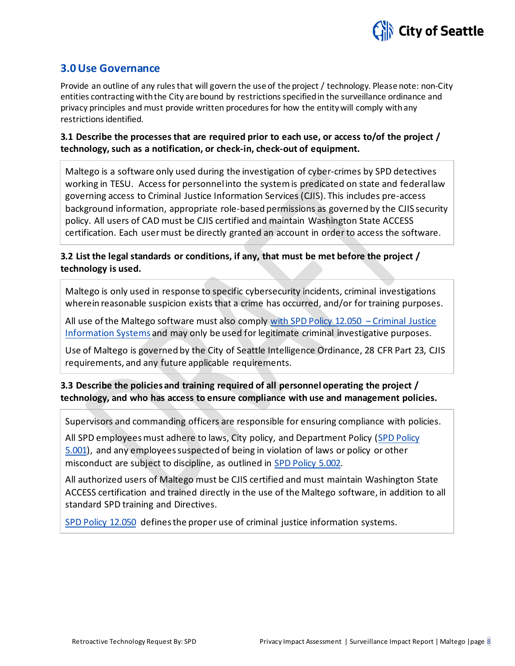

### **3.0 Use Governance**

Provide an outline of any rules that will govern the use of the project / technology. Please note: non-City entities contracting with the City are bound by restrictions specified in the surveillance ordinance and privacy principles and must provide written procedures for how the entity will comply with any restrictions identified.

**3.1 Describe the processes that are required prior to each use, or access to/of the project / technology, such as a notification, or check-in, check-out of equipment.**

Maltego is a software only used during the investigation of cyber-crimes by SPD detectives working in TESU. Access for personnel into the system is predicated on state and federal law governing access to Criminal Justice Information Services (CJIS). This includes pre-access background information, appropriate role-based permissions as governed by the CJIS security policy. All users of CAD must be CJIS certified and maintain Washington State ACCESS certification. Each user must be directly granted an account in order to access the software.

### **3.2 List the legal standards or conditions, if any, that must be met before the project / technology is used.**

Maltego is only used in response to specific cybersecurity incidents, criminal investigations wherein reasonable suspicion exists that a crime has occurred, and/or for training purposes.

All use of the Maltego software must also comply [with SPD Policy 12.050 –](https://www.seattle.gov/police-manual/title-12---department-information-systems/12050---criminal-justice-information-systems) Criminal Justice [Information Systems](https://www.seattle.gov/police-manual/title-12---department-information-systems/12050---criminal-justice-information-systems) and may only be used for legitimate criminal investigative purposes.

Use of Maltego is governed by the City of Seattle Intelligence Ordinance, 28 CFR Part 23, CJIS requirements, and any future applicable requirements.

### **3.3 Describe the policies and training required of all personnel operating the project / technology, and who has access to ensure compliance with use and management policies.**

Supervisors and commanding officers are responsible for ensuring compliance with policies.

All SPD employees must adhere to laws, City policy, and Department Policy (SPD Policy [5.001\)](http://www.seattle.gov/police-manual/title-5---employee-conduct/5001---standards-and-duties), and any employees suspected of being in violation of laws or policy or other misconduct are subject to discipline, as outlined in [SPD Policy 5.002.](http://www.seattle.gov/police-manual/title-5---employee-conduct/5002---responsibilities-of-employees-concerning-alleged-policy-violations)

All authorized users of Maltego must be CJIS certified and must maintain Washington State ACCESS certification and trained directly in the use of the Maltego software, in addition to all standard SPD training and Directives.

[SPD Policy 12.050](http://www.seattle.gov/police-manual/title-12---department-information-systems/12050---criminal-justice-information-systems) defines the proper use of criminal justice information systems.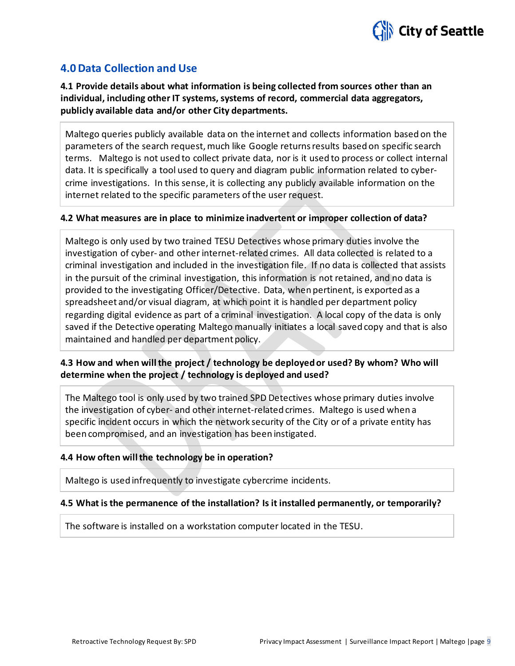

### **4.0 Data Collection and Use**

**4.1 Provide details about what information is being collected from sources other than an individual, including other IT systems, systems of record, commercial data aggregators, publicly available data and/or other City departments.**

Maltego queries publicly available data on the internet and collects information based on the parameters of the search request, much like Google returns results based on specific search terms. Maltego is not used to collect private data, nor is it used to process or collect internal data. It is specifically a tool used to query and diagram public information related to cybercrime investigations. In this sense, it is collecting any publicly available information on the internet related to the specific parameters of the user request.

### **4.2 What measures are in place to minimize inadvertent or improper collection of data?**

Maltego is only used by two trained TESU Detectives whose primary duties involve the investigation of cyber- and other internet-related crimes. All data collected is related to a criminal investigation and included in the investigation file. If no data is collected that assists in the pursuit of the criminal investigation, this information is not retained, and no data is provided to the investigating Officer/Detective. Data, when pertinent, is exported as a spreadsheet and/or visual diagram, at which point it is handled per department policy regarding digital evidence as part of a criminal investigation. A local copy of the data is only saved if the Detective operating Maltego manually initiates a local saved copy and that is also maintained and handled per department policy.

### **4.3 How and when will the project / technology be deployed or used? By whom? Who will determine when the project / technology is deployed and used?**

The Maltego tool is only used by two trained SPD Detectives whose primary duties involve the investigation of cyber- and other internet-related crimes. Maltego is used when a specific incident occurs in which the network security of the City or of a private entity has been compromised, and an investigation has been instigated.

### **4.4 How often will the technology be in operation?**

Maltego is used infrequently to investigate cybercrime incidents.

### **4.5 What is the permanence of the installation? Is it installed permanently, or temporarily?**

The software is installed on a workstation computer located in the TESU.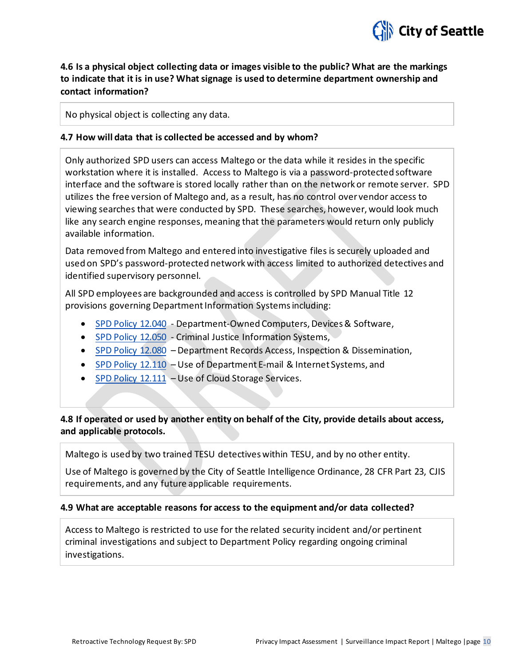

### **4.6 Is a physical object collecting data or images visible to the public? What are the markings to indicate that it is in use? What signage is used to determine department ownership and contact information?**

No physical object is collecting any data.

### **4.7 How will data that is collected be accessed and by whom?**

Only authorized SPD users can access Maltego or the data while it resides in the specific workstation where it is installed. Access to Maltego is via a password-protected software interface and the software is stored locally rather than on the network or remote server. SPD utilizes the free version of Maltego and, as a result, has no control over vendor access to viewing searches that were conducted by SPD. These searches, however, would look much like any search engine responses, meaning that the parameters would return only publicly available information.

Data removed from Maltego and entered into investigative files is securely uploaded and used on SPD's password-protected network with access limited to authorized detectives and identified supervisory personnel.

All SPD employees are backgrounded and access is controlled by SPD Manual Title 12 provisions governing Department Information Systems including:

- [SPD Policy 12.040](http://www.seattle.gov/police-manual/title-12---department-information-systems/12040---department-owned-computers-devices-and-software) Department-Owned Computers, Devices & Software,
- [SPD Policy 12.050](http://www.seattle.gov/police-manual/title-12---department-information-systems/12050---criminal-justice-information-systems) Criminal Justice Information Systems,
- [SPD Policy 12.080](http://www.seattle.gov/police-manual/title-12---department-information-systems/12080---department-records-access-inspection-and-dissemination) Department Records Access, Inspection & Dissemination,
- [SPD Policy 12.110](http://www.seattle.gov/police-manual/title-12---department-information-systems/12110---use-of-department-e-mail-and-internet-systems) Use of Department E-mail & Internet Systems, and
- [SPD Policy 12.111](http://www.seattle.gov/police-manual/title-12---department-information-systems/12111---use-of-cloud-storage-services) Use of Cloud Storage Services.

### **4.8 If operated or used by another entity on behalf of the City, provide details about access, and applicable protocols.**

Maltego is used by two trained TESU detectives within TESU, and by no other entity.

Use of Maltego is governed by the City of Seattle Intelligence Ordinance, 28 CFR Part 23, CJIS requirements, and any future applicable requirements.

### **4.9 What are acceptable reasons for access to the equipment and/or data collected?**

Access to Maltego is restricted to use for the related security incident and/or pertinent criminal investigations and subject to Department Policy regarding ongoing criminal investigations.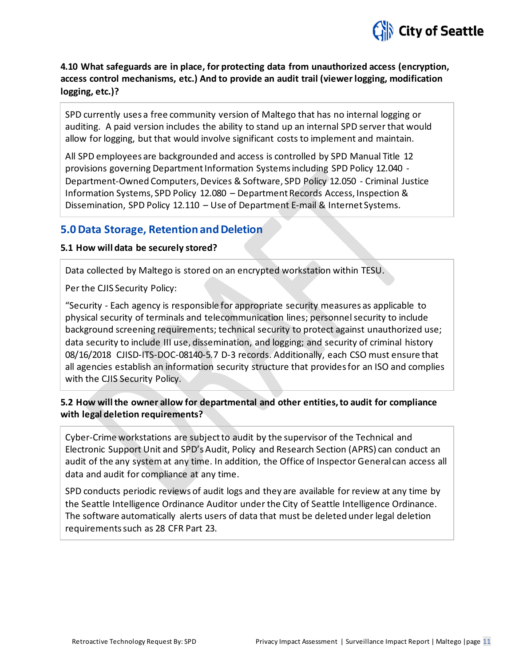

### **4.10 What safeguards are in place, for protecting data from unauthorized access (encryption, access control mechanisms, etc.) And to provide an audit trail (viewer logging, modification logging, etc.)?**

SPD currently uses a free community version of Maltego that has no internal logging or auditing. A paid version includes the ability to stand up an internal SPD server that would allow for logging, but that would involve significant costs to implement and maintain.

All SPD employees are backgrounded and access is controlled by SPD Manual Title 12 provisions governing Department Information Systems including SPD Policy 12.040 - Department-Owned Computers, Devices & Software, SPD Policy 12.050 - Criminal Justice Information Systems, SPD Policy 12.080 – Department Records Access, Inspection & Dissemination, SPD Policy 12.110 – Use of Department E-mail & Internet Systems.

### **5.0 Data Storage, Retention and Deletion**

### **5.1 How will data be securely stored?**

Data collected by Maltego is stored on an encrypted workstation within TESU.

Per the CJIS Security Policy:

"Security - Each agency is responsible for appropriate security measures as applicable to physical security of terminals and telecommunication lines; personnel security to include background screening requirements; technical security to protect against unauthorized use; data security to include III use, dissemination, and logging; and security of criminal history 08/16/2018 CJISD-ITS-DOC-08140-5.7 D-3 records. Additionally, each CSO must ensure that all agencies establish an information security structure that provides for an ISO and complies with the CJIS Security Policy.

### **5.2 How will the owner allow for departmental and other entities, to audit for compliance with legal deletion requirements?**

Cyber-Crime workstations are subject to audit by the supervisor of the Technical and Electronic Support Unit and SPD's Audit, Policy and Research Section (APRS) can conduct an audit of the any system at any time. In addition, the Office of Inspector General can access all data and audit for compliance at any time.

SPD conducts periodic reviews of audit logs and they are available for review at any time by the Seattle Intelligence Ordinance Auditor under the City of Seattle Intelligence Ordinance. The software automatically alerts users of data that must be deleted under legal deletion requirements such as 28 CFR Part 23.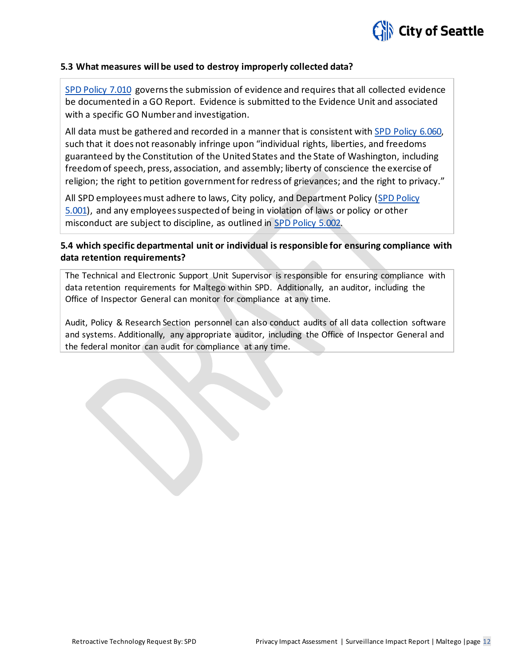

### **5.3 What measures will be used to destroy improperly collected data?**

[SPD Policy 7.010](http://www.seattle.gov/police-manual/title-7---evidence-and-property/7010---submitting-evidence) governs the submission of evidence and requires that all collected evidence be documented in a GO Report. Evidence is submitted to the Evidence Unit and associated with a specific GO Number and investigation.

All data must be gathered and recorded in a manner that is consistent with [SPD Policy 6.060,](http://www.seattle.gov/police-manual/title-6---arrests-search-and-seizure/6060---collection-of-information-for-law-enforcement-purposes)  such that it does not reasonably infringe upon "individual rights, liberties, and freedoms guaranteed by the Constitution of the United States and the State of Washington, including freedom of speech, press, association, and assembly; liberty of conscience the exercise of religion; the right to petition government for redress of grievances; and the right to privacy."

All SPD employees must adhere to laws, City policy, and Department Policy [\(SPD Policy](http://www.seattle.gov/police-manual/title-5---employee-conduct/5001---standards-and-duties)  [5.001\)](http://www.seattle.gov/police-manual/title-5---employee-conduct/5001---standards-and-duties), and any employees suspected of being in violation of laws or policy or other misconduct are subject to discipline, as outlined in [SPD Policy 5.002.](http://www.seattle.gov/police-manual/title-5---employee-conduct/5002---responsibilities-of-employees-concerning-alleged-policy-violations) 

### **5.4 which specific departmental unit or individual is responsible for ensuring compliance with data retention requirements?**

The Technical and Electronic Support Unit Supervisor is responsible for ensuring compliance with data retention requirements for Maltego within SPD. Additionally, an auditor, including the Office of Inspector General can monitor for compliance at any time.

Audit, Policy & Research Section personnel can also conduct audits of all data collection software and systems. Additionally, any appropriate auditor, including the Office of Inspector General and the federal monitor can audit for compliance at any time.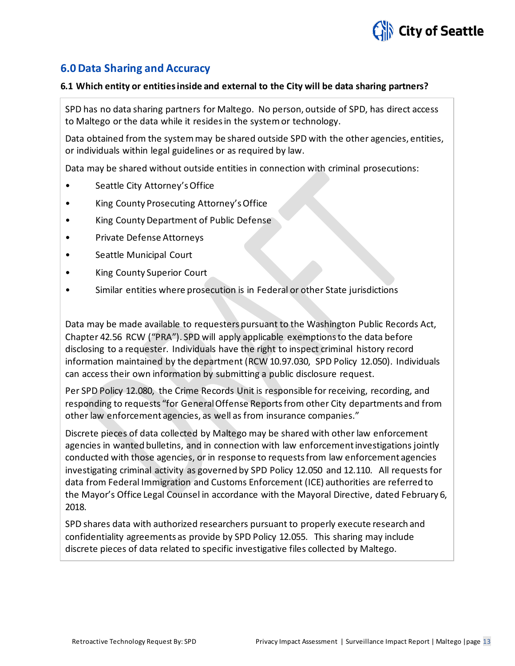

### **6.0 Data Sharing and Accuracy**

#### **6.1 Which entity or entities inside and external to the City will be data sharing partners?**

SPD has no data sharing partners for Maltego. No person, outside of SPD, has direct access to Maltego or the data while it resides in the system or technology.

Data obtained from the system may be shared outside SPD with the other agencies, entities, or individuals within legal guidelines or as required by law.

Data may be shared without outside entities in connection with criminal prosecutions:

- Seattle City Attorney's Office
- King County Prosecuting Attorney's Office
- King County Department of Public Defense
- Private Defense Attorneys
- Seattle Municipal Court
- King County Superior Court
- Similar entities where prosecution is in Federal or other State jurisdictions

Data may be made available to requesters pursuant to the Washington Public Records Act, Chapter 42.56 RCW ("PRA"). SPD will apply applicable exemptions to the data before disclosing to a requester. Individuals have the right to inspect criminal history record information maintained by the department (RCW 10.97.030, SPD Policy 12.050). Individuals can access their own information by submitting a public disclosure request.

Per SPD Policy 12.080, the Crime Records Unit is responsible for receiving, recording, and responding to requests "for General Offense Reports from other City departments and from other law enforcement agencies, as well as from insurance companies."

Discrete pieces of data collected by Maltego may be shared with other law enforcement agencies in wanted bulletins, and in connection with law enforcement investigations jointly conducted with those agencies, or in response to requests from law enforcement agencies investigating criminal activity as governed by SPD Policy 12.050 and 12.110. All requests for data from Federal Immigration and Customs Enforcement (ICE) authorities are referred to the Mayor's Office Legal Counsel in accordance with the Mayoral Directive, dated February 6, 2018.

SPD shares data with authorized researchers pursuant to properly execute research and confidentiality agreements as provide by SPD Policy 12.055. This sharing may include discrete pieces of data related to specific investigative files collected by Maltego.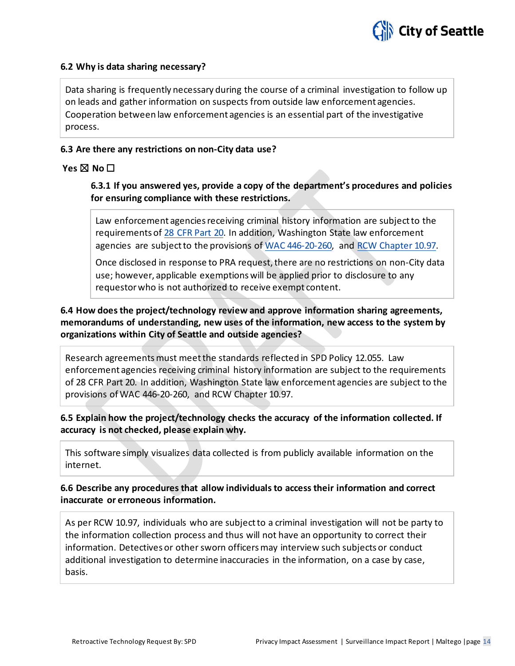

### **6.2 Why is data sharing necessary?**

Data sharing is frequently necessary during the course of a criminal investigation to follow up on leads and gather information on suspects from outside law enforcement agencies. Cooperation between law enforcement agencies is an essential part of the investigative process.

### **6.3 Are there any restrictions on non-City data use?**

### **Yes** ☒ **No** ☐

**6.3.1 If you answered yes, provide a copy of the department's procedures and policies for ensuring compliance with these restrictions.**

Law enforcement agencies receiving criminal history information are subject to the requirements of [28 CFR Part 20.](https://www.ecfr.gov/cgi-bin/text-idx?tpl=/ecfrbrowse/Title28/28cfr20_main_02.tpl) In addition, Washington State law enforcement agencies are subject to the provisions of [WAC 446-20-260,](http://apps.leg.wa.gov/wac/default.aspx?cite=446-20-260) and [RCW Chapter 10.97.](http://app.leg.wa.gov/rcw/default.aspx?cite=10.97)

Once disclosed in response to PRA request, there are no restrictions on non-City data use; however, applicable exemptions will be applied prior to disclosure to any requestor who is not authorized to receive exempt content.

**6.4 How does the project/technology review and approve information sharing agreements, memorandums of understanding, new uses of the information, new access to the system by organizations within City of Seattle and outside agencies?**

Research agreements must meet the standards reflected in SPD Policy 12.055. Law enforcement agencies receiving criminal history information are subject to the requirements of 28 CFR Part 20. In addition, Washington State law enforcement agencies are subject to the provisions of WAC 446-20-260, and RCW Chapter 10.97.

**6.5 Explain how the project/technology checks the accuracy of the information collected. If accuracy is not checked, please explain why.**

This software simply visualizes data collected is from publicly available information on the internet.

**6.6 Describe any procedures that allow individuals to access their information and correct inaccurate or erroneous information.**

As per RCW 10.97, individuals who are subject to a criminal investigation will not be party to the information collection process and thus will not have an opportunity to correct their information. Detectives or other sworn officers may interview such subjects or conduct additional investigation to determine inaccuracies in the information, on a case by case, basis.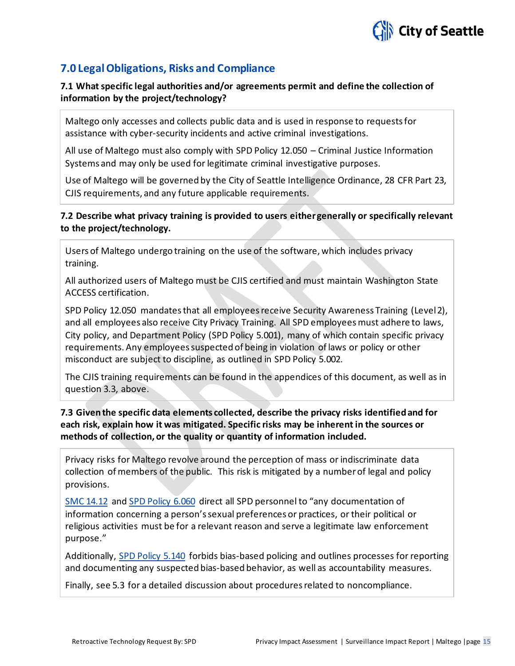

### **7.0 Legal Obligations, Risks and Compliance**

### **7.1 What specific legal authorities and/or agreements permit and define the collection of information by the project/technology?**

Maltego only accesses and collects public data and is used in response to requests for assistance with cyber-security incidents and active criminal investigations.

All use of Maltego must also comply with SPD Policy 12.050 – Criminal Justice Information Systems and may only be used for legitimate criminal investigative purposes.

Use of Maltego will be governed by the City of Seattle Intelligence Ordinance, 28 CFR Part 23, CJIS requirements, and any future applicable requirements.

### **7.2 Describe what privacy training is provided to users either generally or specifically relevant to the project/technology.**

Users of Maltego undergo training on the use of the software, which includes privacy training.

All authorized users of Maltego must be CJIS certified and must maintain Washington State ACCESS certification.

SPD Policy 12.050 mandates that all employees receive Security Awareness Training (Level 2), and all employees also receive City Privacy Training. All SPD employees must adhere to laws, City policy, and Department Policy (SPD Policy 5.001), many of which contain specific privacy requirements. Any employees suspected of being in violation of laws or policy or other misconduct are subject to discipline, as outlined in SPD Policy 5.002.

The CJIS training requirements can be found in the appendices of this document, as well as in question 3.3, above.

### **7.3 Given the specific data elements collected, describe the privacy risks identified and for each risk, explain how it was mitigated. Specific risks may be inherent in the sources or methods of collection, or the quality or quantity of information included.**

Privacy risks for Maltego revolve around the perception of mass or indiscriminate data collection of members of the public. This risk is mitigated by a number of legal and policy provisions.

[SMC 14.12](http://clerk.ci.seattle.wa.us/%7Epublic/toc/14-12.htm) an[d SPD Policy 6.060](http://www.seattle.gov/police-manual/title-6---arrests-search-and-seizure/6060---collection-of-information-for-law-enforcement-purposes) direct all SPD personnel to "any documentation of information concerning a person's sexual preferences or practices, or their political or religious activities must be for a relevant reason and serve a legitimate law enforcement purpose."

Additionally, [SPD Policy 5.140](http://www.seattle.gov/police-manual/title-5---employee-conduct/5140---bias-free-policing) forbids bias-based policing and outlines processes for reporting and documenting any suspected bias-based behavior, as well as accountability measures.

Finally, see 5.3 for a detailed discussion about procedures related to noncompliance.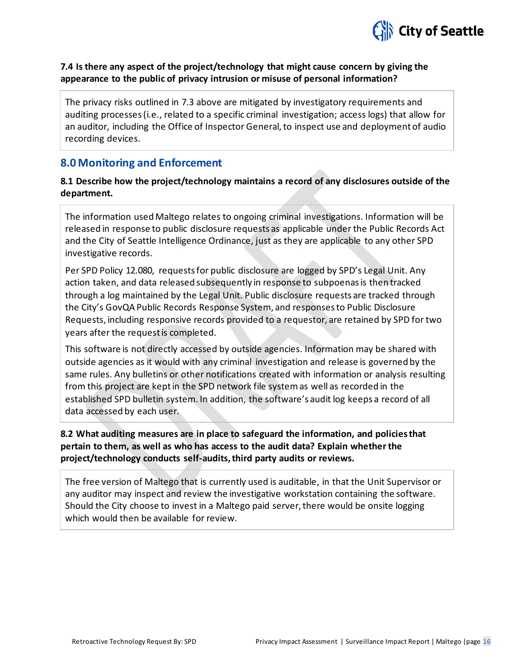

### **7.4 Is there any aspect of the project/technology that might cause concern by giving the appearance to the public of privacy intrusion or misuse of personal information?**

The privacy risks outlined in 7.3 above are mitigated by investigatory requirements and auditing processes (i.e., related to a specific criminal investigation; access logs) that allow for an auditor, including the Office of Inspector General, to inspect use and deployment of audio recording devices.

### **8.0 Monitoring and Enforcement**

### **8.1 Describe how the project/technology maintains a record of any disclosures outside of the department.**

The information used Maltego relates to ongoing criminal investigations. Information will be released in response to public disclosure requests as applicable under the Public Records Act and the City of Seattle Intelligence Ordinance, just as they are applicable to any other SPD investigative records.

Per SPD Policy 12.080, requests for public disclosure are logged by SPD's Legal Unit. Any action taken, and data released subsequently in response to subpoenas is then tracked through a log maintained by the Legal Unit. Public disclosure requests are tracked through the City's GovQA Public Records Response System, and responses to Public Disclosure Requests, including responsive records provided to a requestor, are retained by SPD for two years after the request is completed.

This software is not directly accessed by outside agencies. Information may be shared with outside agencies as it would with any criminal investigation and release is governed by the same rules. Any bulletins or other notifications created with information or analysis resulting from this project are kept in the SPD network file system as well as recorded in the established SPD bulletin system. In addition, the software's audit log keeps a record of all data accessed by each user.

### **8.2 What auditing measures are in place to safeguard the information, and policies that pertain to them, as well as who has access to the audit data? Explain whether the project/technology conducts self-audits, third party audits or reviews.**

The free version of Maltego that is currently used is auditable, in that the Unit Supervisor or any auditor may inspect and review the investigative workstation containing the software. Should the City choose to invest in a Maltego paid server, there would be onsite logging which would then be available for review.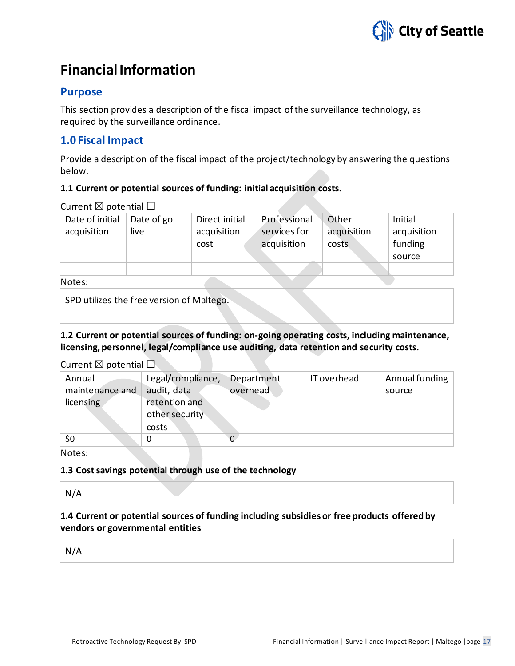

### **Financial Information**

### **Purpose**

This section provides a description of the fiscal impact of the surveillance technology, as required by the surveillance ordinance.

### **1.0 Fiscal Impact**

Provide a description of the fiscal impact of the project/technology by answering the questions below.

### **1.1 Current or potential sources of funding: initial acquisition costs.**

Current  $\boxtimes$  potential  $\Box$ 

| Date of initial | Date of go | Direct initial | Professional | Other       | Initial     |
|-----------------|------------|----------------|--------------|-------------|-------------|
| acquisition     | live       | acquisition    | services for | acquisition | acquisition |
|                 |            | cost           | acquisition  | costs       | funding     |
|                 |            |                |              |             | source      |
|                 |            |                |              |             |             |
| .               |            |                |              |             |             |

### Notes:

SPD utilizes the free version of Maltego.

**1.2 Current or potential sources of funding: on-going operating costs, including maintenance, licensing, personnel, legal/compliance use auditing, data retention and security costs.**

Current  $\boxtimes$  potential  $\Box$ 

| Annual<br>maintenance and<br>licensing | Legal/compliance,<br>audit, data<br>retention and<br>other security<br>costs | Department<br>overhead | IT overhead | Annual funding<br>source |
|----------------------------------------|------------------------------------------------------------------------------|------------------------|-------------|--------------------------|
| \$0                                    | 0                                                                            | 0                      |             |                          |

Notes:

**1.3 Cost savings potential through use of the technology**

N/A

**1.4 Current or potential sources of funding including subsidies or free products offered by vendors or governmental entities**

N/A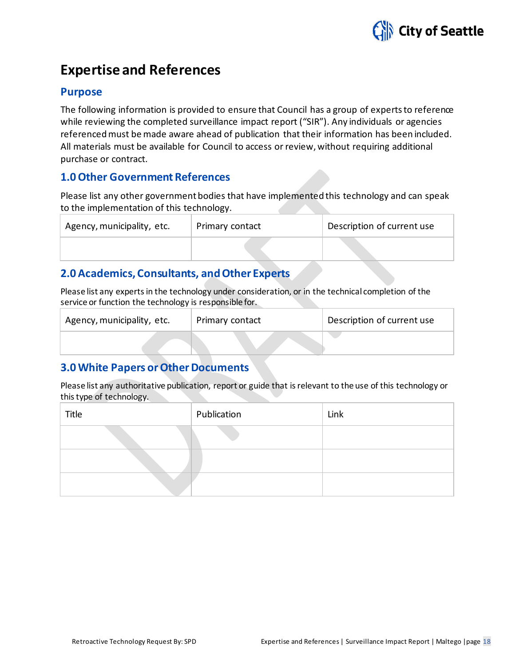

### **Expertise and References**

### **Purpose**

The following information is provided to ensure that Council has a group of experts to reference while reviewing the completed surveillance impact report ("SIR"). Any individuals or agencies referenced must be made aware ahead of publication that their information has been included. All materials must be available for Council to access or review, without requiring additional purchase or contract.

### **1.0 Other Government References**

Please list any other government bodies that have implemented this technology and can speak to the implementation of this technology.

| Agency, municipality, etc. | Primary contact | Description of current use |
|----------------------------|-----------------|----------------------------|
|                            |                 |                            |

### **2.0 Academics, Consultants, and Other Experts**

Please list any experts in the technology under consideration, or in the technical completion of the service or function the technology is responsible for.

| Agency, municipality, etc. | Primary contact | Description of current use |
|----------------------------|-----------------|----------------------------|
|                            |                 |                            |

### **3.0 White Papers or Other Documents**

Please list any authoritative publication, report or guide that is relevant to the use of this technology or this type of technology.

| Title | Publication | Link |
|-------|-------------|------|
|       |             |      |
|       |             |      |
|       |             |      |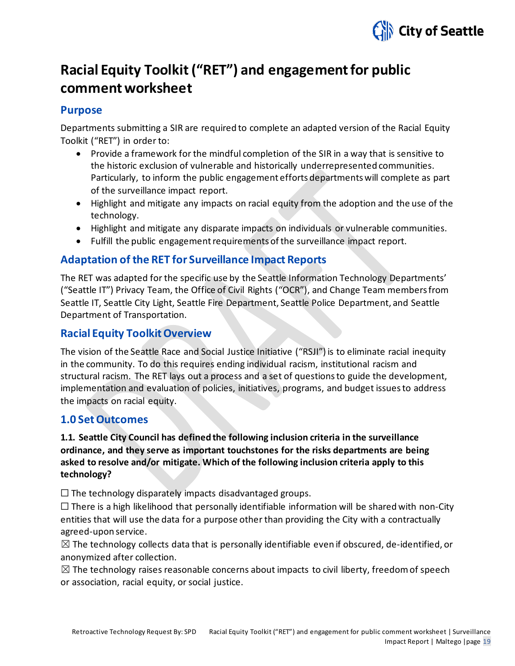

### **Racial Equity Toolkit ("RET") and engagement for public commentworksheet**

### **Purpose**

Departments submitting a SIR are required to complete an adapted version of the Racial Equity Toolkit ("RET") in order to:

- Provide a framework for the mindful completion of the SIR in a way that is sensitive to the historic exclusion of vulnerable and historically underrepresented communities. Particularly, to inform the public engagement efforts departments will complete as part of the surveillance impact report.
- Highlight and mitigate any impacts on racial equity from the adoption and the use of the technology.
- Highlight and mitigate any disparate impacts on individuals or vulnerable communities.
- Fulfill the public engagement requirements of the surveillance impact report.

### **Adaptation of the RET for Surveillance Impact Reports**

The RET was adapted for the specific use by the Seattle Information Technology Departments' ("Seattle IT") Privacy Team, the Office of Civil Rights ("OCR"), and Change Team members from Seattle IT, Seattle City Light, Seattle Fire Department, Seattle Police Department, and Seattle Department of Transportation.

### **Racial Equity Toolkit Overview**

The vision of the Seattle Race and Social Justice Initiative ("RSJI") is to eliminate racial inequity in the community. To do this requires ending individual racism, institutional racism and structural racism. The RET lays out a process and a set of questions to guide the development, implementation and evaluation of policies, initiatives, programs, and budget issues to address the impacts on racial equity.

### **1.0 Set Outcomes**

### **1.1. Seattle City Council has defined the following inclusion criteria in the surveillance ordinance, and they serve as important touchstones for the risks departments are being asked to resolve and/or mitigate. Which of the following inclusion criteria apply to this technology?**

 $\Box$  The technology disparately impacts disadvantaged groups.

 $\Box$  There is a high likelihood that personally identifiable information will be shared with non-City entities that will use the data for a purpose other than providing the City with a contractually agreed-upon service.

 $\boxtimes$  The technology collects data that is personally identifiable even if obscured, de-identified, or anonymized after collection.

 $\boxtimes$  The technology raises reasonable concerns about impacts to civil liberty, freedom of speech or association, racial equity, or social justice.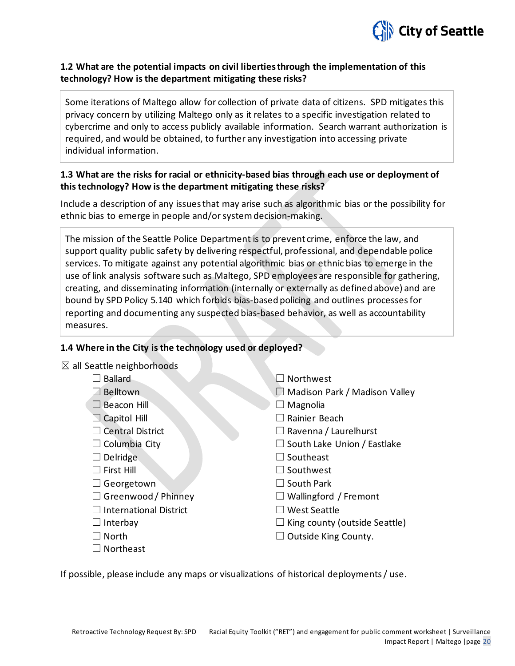

### **1.2 What are the potential impacts on civil liberties through the implementation of this technology? How is the department mitigating these risks?**

Some iterations of Maltego allow for collection of private data of citizens. SPD mitigates this privacy concern by utilizing Maltego only as it relates to a specific investigation related to cybercrime and only to access publicly available information. Search warrant authorization is required, and would be obtained, to further any investigation into accessing private individual information.

### **1.3 What are the risks for racial or ethnicity-based bias through each use or deployment of this technology? How is the department mitigating these risks?**

Include a description of any issues that may arise such as algorithmic bias or the possibility for ethnic bias to emerge in people and/or system decision-making.

The mission of the Seattle Police Department is to prevent crime, enforce the law, and support quality public safety by delivering respectful, professional, and dependable police services. To mitigate against any potential algorithmic bias or ethnic bias to emerge in the use of link analysis software such as Maltego, SPD employees are responsible for gathering, creating, and disseminating information (internally or externally as defined above) and are bound by SPD Policy 5.140 which forbids bias-based policing and outlines processes for reporting and documenting any suspected bias-based behavior, as well as accountability measures.

### **1.4 Where in the City is the technology used or deployed?**

| $\boxtimes$ all Seattle neighborhoods |                                      |
|---------------------------------------|--------------------------------------|
| <b>Ballard</b>                        | $\Box$ Northwest                     |
| $\Box$ Belltown                       | □ Madison Park / Madison Valley      |
| $\square$ Beacon Hill                 | $\Box$ Magnolia                      |
| $\Box$ Capitol Hill                   | Rainier Beach                        |
| $\Box$ Central District               | $\Box$ Ravenna / Laurelhurst         |
| $\Box$ Columbia City                  | $\Box$ South Lake Union / Eastlake   |
| $\Box$ Delridge                       | $\Box$ Southeast                     |
| $\Box$ First Hill                     | $\sqcup$ Southwest                   |
| $\Box$ Georgetown                     | $\Box$ South Park                    |
| $\Box$ Greenwood / Phinney            | $\Box$ Wallingford / Fremont         |
| <b>International District</b>         | $\lrcorner$ West Seattle             |
| $\Box$ Interbay                       | $\Box$ King county (outside Seattle) |
| North                                 | $\Box$ Outside King County.          |
| Northeast                             |                                      |

If possible, please include any maps or visualizations of historical deployments / use.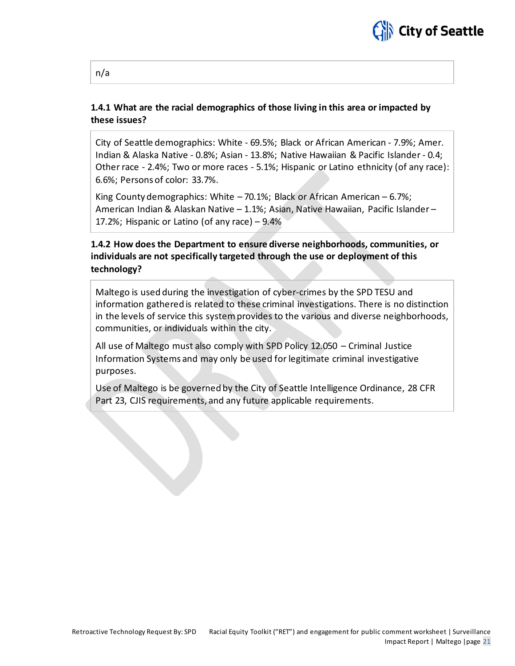

### **1.4.1 What are the racial demographics of those living in this area or impacted by these issues?**

City of Seattle demographics: White - 69.5%; Black or African American - 7.9%; Amer. Indian & Alaska Native - 0.8%; Asian - 13.8%; Native Hawaiian & Pacific Islander - 0.4; Other race - 2.4%; Two or more races - 5.1%; Hispanic or Latino ethnicity (of any race): 6.6%; Persons of color: 33.7%.

King County demographics: White – 70.1%; Black or African American – 6.7%; American Indian & Alaskan Native – 1.1%; Asian, Native Hawaiian, Pacific Islander – 17.2%; Hispanic or Latino (of any race) – 9.4%

### **1.4.2 How does the Department to ensure diverse neighborhoods, communities, or individuals are not specifically targeted through the use or deployment of this technology?**

Maltego is used during the investigation of cyber-crimes by the SPD TESU and information gathered is related to these criminal investigations. There is no distinction in the levels of service this system provides to the various and diverse neighborhoods, communities, or individuals within the city.

All use of Maltego must also comply with SPD Policy 12.050 – Criminal Justice Information Systems and may only be used for legitimate criminal investigative purposes.

Use of Maltego is be governed by the City of Seattle Intelligence Ordinance, 28 CFR Part 23, CJIS requirements, and any future applicable requirements.

#### n/a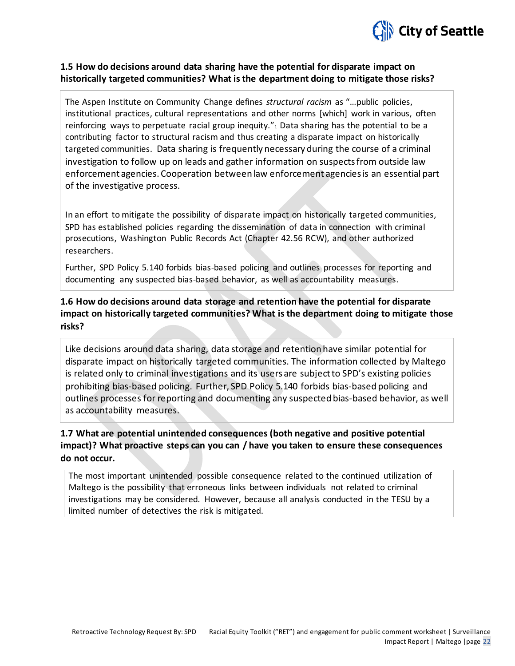

### **1.5 How do decisions around data sharing have the potential for disparate impact on historically targeted communities? What is the department doing to mitigate those risks?**

The Aspen Institute on Community Change defines *structural racism* as "…public policies, institutional practices, cultural representations and other norms [which] work in various, often reinforcing ways to perpetuate racial group inequity. $\alpha_1$  Data sharing has the potential to be a contributing factor to structural racism and thus creating a disparate impact on historically targeted communities. Data sharing is frequently necessary during the course of a criminal investigation to follow up on leads and gather information on suspects from outside law enforcement agencies. Cooperation between law enforcement agencies is an essential part of the investigative process.

In an effort to mitigate the possibility of disparate impact on historically targeted communities, SPD has established policies regarding the dissemination of data in connection with criminal prosecutions, Washington Public Records Act (Chapter 42.56 RCW), and other authorized researchers.

Further, SPD Policy 5.140 forbids bias-based policing and outlines processes for reporting and documenting any suspected bias-based behavior, as well as accountability measures.

### **1.6 How do decisions around data storage and retention have the potential for disparate impact on historically targeted communities? What is the department doing to mitigate those risks?**

Like decisions around data sharing, data storage and retention have similar potential for disparate impact on historically targeted communities. The information collected by Maltego is related only to criminal investigations and its users are subject to SPD's existing policies prohibiting bias-based policing. Further, SPD Policy 5.140 forbids bias-based policing and outlines processes for reporting and documenting any suspected bias-based behavior, as well as accountability measures.

### **1.7 What are potential unintended consequences (both negative and positive potential impact)? What proactive steps can you can / have you taken to ensure these consequences do not occur.**

The most important unintended possible consequence related to the continued utilization of Maltego is the possibility that erroneous links between individuals not related to criminal investigations may be considered. However, because all analysis conducted in the TESU by a limited number of detectives the risk is mitigated.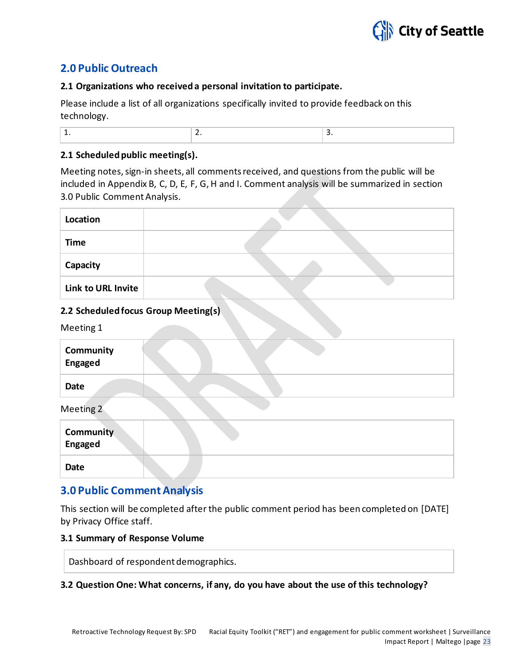

### **2.0 Public Outreach**

### **2.1 Organizations who received a personal invitation to participate.**

Please include a list of all organizations specifically invited to provide feedback on this technology.

| - |
|---|
|---|

### **2.1 Scheduled public meeting(s).**

Meeting notes, sign-in sheets, all comments received, and questions from the public will be included in Appendix B, C, D, E, F, G, H and I. Comment analysis will be summarized in section 3.0 Public Comment Analysis.

| Location           |  |
|--------------------|--|
| <b>Time</b>        |  |
| Capacity           |  |
| Link to URL Invite |  |

### **2.2 Scheduled focus Group Meeting(s)**

Meeting 1

| Community<br><b>Engaged</b> |  |
|-----------------------------|--|
| <b>Date</b>                 |  |
| Meeting 2                   |  |
| <b>Community</b><br>Engaged |  |

**Date**

### **3.0 Public Comment Analysis**

This section will be completed after the public comment period has been completed on [DATE] by Privacy Office staff.

### **3.1 Summary of Response Volume**

Dashboard of respondent demographics.

### **3.2 Question One: What concerns, if any, do you have about the use of this technology?**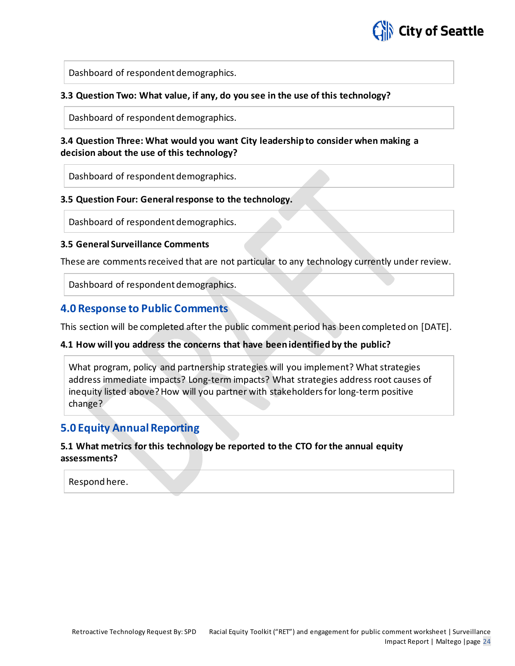

Dashboard of respondent demographics.

### **3.3 Question Two: What value, if any, do you see in the use of this technology?**

Dashboard of respondent demographics.

### **3.4 Question Three: What would you want City leadership to consider when making a decision about the use of this technology?**

Dashboard of respondent demographics.

### **3.5 Question Four: General response to the technology.**

Dashboard of respondent demographics.

### **3.5 General Surveillance Comments**

These are comments received that are not particular to any technology currently under review.

Dashboard of respondent demographics.

### **4.0 Response to Public Comments**

This section will be completed after the public comment period has been completed on [DATE].

### **4.1 How will you address the concerns that have been identified by the public?**

What program, policy and partnership strategies will you implement? What strategies address immediate impacts? Long-term impacts? What strategies address root causes of inequity listed above? How will you partner with stakeholders for long-term positive change?

### **5.0 Equity Annual Reporting**

### **5.1 What metrics for this technology be reported to the CTO for the annual equity assessments?**

Respond here.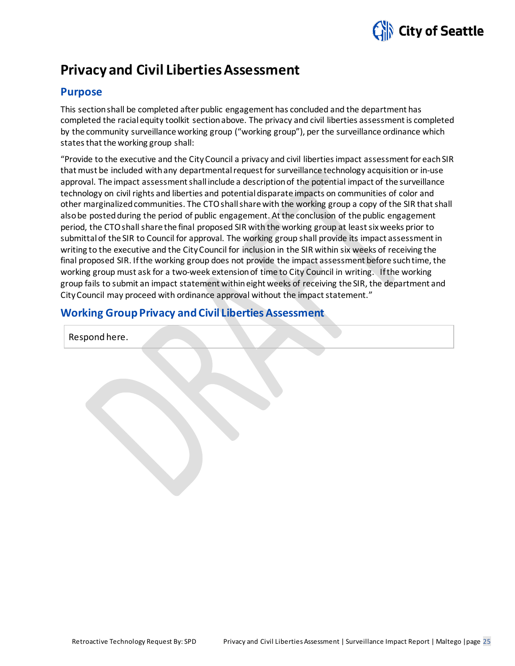

### **Privacy and Civil Liberties Assessment**

### **Purpose**

This section shall be completed after public engagement has concluded and the department has completed the racial equity toolkit section above. The privacy and civil liberties assessment is completed by the community surveillance working group ("working group"), per the surveillance ordinance which states that the working group shall:

"Provide to the executive and the CityCouncil a privacy and civil liberties impact assessment for each SIR that must be included with any departmental request for surveillance technology acquisition or in-use approval. The impact assessment shall include a description of the potential impact of the surveillance technology on civil rights and liberties and potential disparate impacts on communities of color and other marginalized communities. The CTOshall share with the working group a copy of the SIR that shall also be posted during the period of public engagement. At the conclusion of the public engagement period, the CTOshall share the final proposed SIR with the working group at least six weeks prior to submittal of the SIR to Council for approval. The working group shall provide its impact assessment in writing to the executive and the CityCouncil for inclusion in the SIR within six weeks of receiving the final proposed SIR. If the working group does not provide the impact assessment before such time, the working group must ask for a two-week extension of time to City Council in writing. If the working group fails to submit an impact statement within eight weeks of receiving the SIR, the department and CityCouncil may proceed with ordinance approval without the impact statement."

### **Working Group Privacy and Civil Liberties Assessment**

Respond here.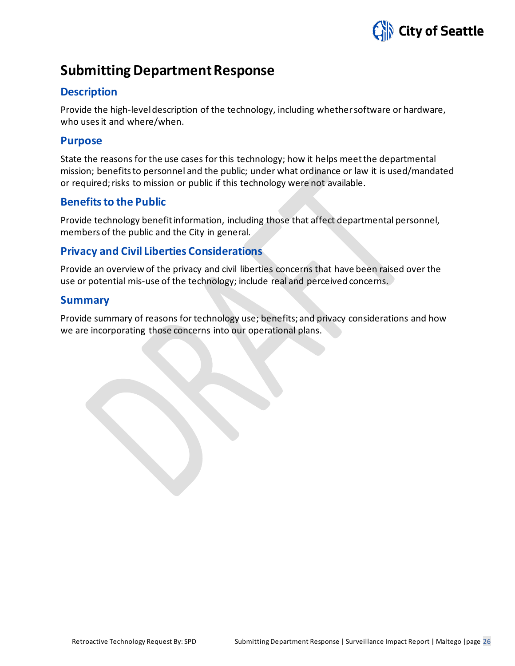

### **Submitting Department Response**

### **Description**

Provide the high-level description of the technology, including whether software or hardware, who uses it and where/when.

### **Purpose**

State the reasons for the use cases for this technology; how it helps meet the departmental mission; benefits to personnel and the public; under what ordinance or law it is used/mandated or required; risks to mission or public if this technology were not available.

### **Benefits to the Public**

Provide technology benefit information, including those that affect departmental personnel, members of the public and the City in general.

### **Privacy and Civil Liberties Considerations**

Provide an overview of the privacy and civil liberties concerns that have been raised over the use or potential mis-use of the technology; include real and perceived concerns.

### **Summary**

Provide summary of reasons for technology use; benefits; and privacy considerations and how we are incorporating those concerns into our operational plans.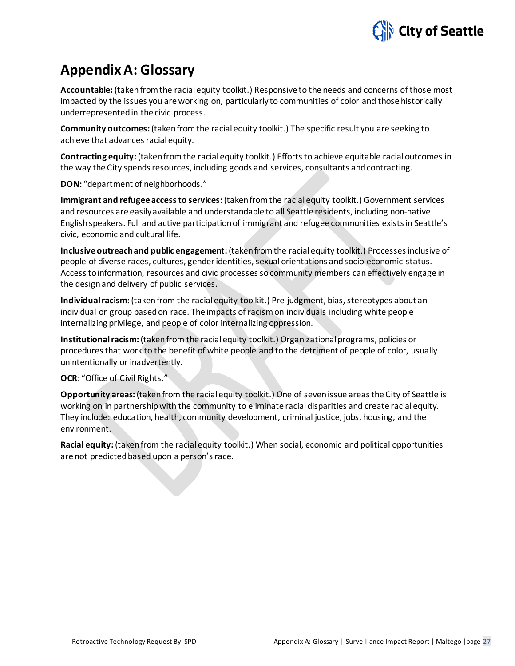

### **Appendix A: Glossary**

**Accountable:** (taken from the racial equity toolkit.) Responsive to the needs and concerns of those most impacted by the issues you are working on, particularly to communities of color and those historically underrepresented in the civic process.

**Community outcomes:** (taken from the racial equity toolkit.) The specific result you are seeking to achieve that advances racial equity.

**Contracting equity:** (taken from the racial equity toolkit.) Efforts to achieve equitable racial outcomes in the way the City spends resources, including goods and services, consultants and contracting.

**DON:** "department of neighborhoods."

**Immigrant and refugee access to services:**(taken from the racial equity toolkit.) Government services and resources are easily available and understandable to all Seattle residents, including non-native English speakers. Full and active participation of immigrant and refugee communities exists in Seattle's civic, economic and cultural life.

**Inclusive outreach and public engagement:** (taken from the racial equity toolkit.) Processes inclusive of people of diverse races, cultures, gender identities, sexual orientations and socio-economic status. Access to information, resources and civic processes so community members can effectively engage in the design and delivery of public services.

**Individual racism:** (taken from the racial equity toolkit.) Pre-judgment, bias, stereotypes about an individual or group based on race. The impacts of racism on individuals including white people internalizing privilege, and people of color internalizing oppression.

**Institutional racism:** (taken from the racial equity toolkit.) Organizational programs, policies or procedures that work to the benefit of white people and to the detriment of people of color, usually unintentionally or inadvertently.

### **OCR**: "Office of Civil Rights."

**Opportunity areas:** (taken from the racial equity toolkit.) One of seven issue areas the City of Seattle is working on in partnership with the community to eliminate racial disparities and create racial equity. They include: education, health, community development, criminal justice, jobs, housing, and the environment.

**Racial equity:** (taken from the racial equity toolkit.) When social, economic and political opportunities are not predicted based upon a person's race.